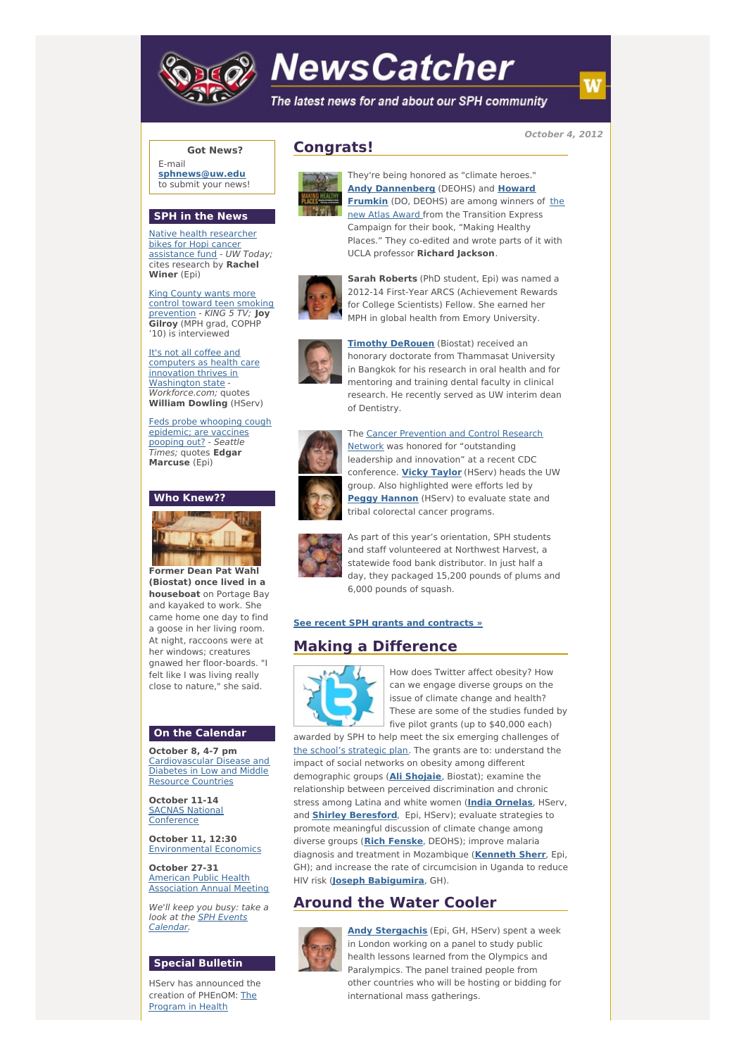

# **NewsCatcher**

The latest news for and about our SPH community

**October 4, 2012**

## **Got News?**

E-mail **[sphnews@uw.edu](mailto:sphnews@uw.edu)** to submit your news!

#### **SPH in the News**

Native health [researcher](http://engage.washington.edu/site/R?i=9zt-iRNmctET37Hzi-f6xg) bikes for Hopi cancer assistance fund - UW Today; cites research by **Rachel Winer** (Epi)

King County wants more control toward teen smoking [prevention](http://engage.washington.edu/site/R?i=-km3zgcPWoUQoWFw-2X_og) - KING 5 TV; **Joy Gilroy** (MPH grad, COPHP '10) is interviewed

It's not all coffee and [computers](http://engage.washington.edu/site/R?i=E0TQqEe-dMXFapnqDM-z5w) as health care innovation thrives in Washington state -Workforce.com; quotes **William Dowling** (HServ)

Feds probe whooping cough [epidemic;](http://engage.washington.edu/site/R?i=akRFE4KzpLz43-iN5n_k8w) are vaccines pooping out? - Seattle Times; quotes **Edgar Marcuse** (Epi)

## **Who Knew??**



**Former Dean Pat Wahl (Biostat) once lived in a houseboat** on Portage Bay and kayaked to work. She came home one day to find a goose in her living room. At night, raccoons were at her windows; creatures gnawed her floor-boards. "I felt like I was living really close to nature," she said.

#### **On the Calendar**

**October 8, 4-7 pm** [Cardiovascular](http://engage.washington.edu/site/R?i=q4zCFjKYcECV1b1x1_64Uw) Disease and Diabetes in Low and Middle Resource Countries

**October 11-14** SACNAS National **[Conference](http://engage.washington.edu/site/R?i=j7kOELmtkT4N1FRSQF1yGg)** 

**October 11, 12:30** [Environmental](http://engage.washington.edu/site/R?i=cB28795V0f0cKCv68uxLsw) Economics

**October 27-31** American Public Health [Association](http://engage.washington.edu/site/R?i=6TWuJJ_YxDzMzxSLR4vvjg) Annual Meeting

We'll keep you busy: take a look at the **SPH Events** [Calendar.](http://engage.washington.edu/site/R?i=Ae4sD7t3J7ebeqI-bJ2E8w)

## **Special Bulletin**

HServ has announced the creation of [PHEnOM:](http://engage.washington.edu/site/R?i=kZOUL-XK7QWHYxpUZ3yibg) The Program in Health

# **Congrats!**



They're being honored as "climate heroes." **Andy [Dannenberg](http://engage.washington.edu/site/R?i=0FQ11u76FIM65oC3I4c6vw)** (DEOHS) and **Howard [Frumkin](http://engage.washington.edu/site/R?i=ekhXKRhUA38HLdkoFW5x8A)** (DO, DEOHS) are among winners of the new Atlas Award from the Transition Express Campaign for their book, "Making Healthy Places." They co-edited and wrote parts of it with UCLA professor **Richard Jackson**.



**Sarah Roberts** (PhD student, Epi) was named a 2012-14 First-Year ARCS (Achievement Rewards for College Scientists) Fellow. She earned her MPH in global health from Emory University.



**Timothy [DeRouen](http://engage.washington.edu/site/R?i=l8s7KErjl44NTMQbnbJMVA)** (Biostat) received an honorary doctorate from Thammasat University in Bangkok for his research in oral health and for mentoring and training dental faculty in clinical research. He recently served as UW interim dean of Dentistry.



The Cancer Prevention and Control Research Network was honored for ["outstanding](http://engage.washington.edu/site/R?i=xlT2sjdo3fLX2jmgUXwlBg) leadership and innovation" at a recent CDC conference. **Vicky [Taylor](http://engage.washington.edu/site/R?i=CS0JuJvmYjp69uNK8SZvZw)** (HServ) heads the UW group. Also highlighted were efforts led by **Peggy [Hannon](http://engage.washington.edu/site/R?i=GTtkiKd6ONzu65hmdq3h2w)** (HServ) to evaluate state and tribal colorectal cancer programs.



As part of this year's orientation, SPH students and staff volunteered at Northwest Harvest, a statewide food bank distributor. In just half a day, they packaged 15,200 pounds of plums and 6,000 pounds of squash.

## **See recent SPH grants and [contracts](http://engage.washington.edu/site/R?i=MubfsDjpK7Y9X492Udtu-w) »**

# **Making a Difference**



How does Twitter affect obesity? How can we engage diverse groups on the issue of climate change and health? These are some of the studies funded by five pilot grants (up to \$40,000 each)

awarded by SPH to help meet the six emerging challenges of the school's [strategic](http://engage.washington.edu/site/R?i=-b3ExSGuISEQtjSywvHBEw) plan. The grants are to: understand the impact of social networks on obesity among different demographic groups (**Ali [Shojaie](http://engage.washington.edu/site/R?i=nvHZJceBpxorhAFzvVwF0A)**, Biostat); examine the relationship between perceived discrimination and chronic stress among Latina and white women (**India [Ornelas](http://engage.washington.edu/site/R?i=0sDbfC-ff-F8JzfMYlvQ_A)**, HServ, and **Shirley [Beresford](http://engage.washington.edu/site/R?i=o8nAOLih0QxZfhRW7J4nBw)**, Epi, HServ); evaluate strategies to promote meaningful discussion of climate change among diverse groups (**Rich [Fenske](http://engage.washington.edu/site/R?i=qbAuyKXpqUw9iu_VTx-zjQ)**, DEOHS); improve malaria diagnosis and treatment in Mozambique (**[Kenneth](http://engage.washington.edu/site/R?i=pGToIwmO_be69DUocgDmBg) Sherr**, Epi, GH); and increase the rate of circumcision in Uganda to reduce HIV risk (**Joseph [Babigumira](http://engage.washington.edu/site/R?i=NTBKUxhR2wtglNduf8pQ5g)**, GH).

## **Around the Water Cooler**



**Andy [Stergachis](http://engage.washington.edu/site/R?i=TMyT7yX-dFrcvYjfq3dyeA)** (Epi, GH, HServ) spent a week in London working on a panel to study public health lessons learned from the Olympics and Paralympics. The panel trained people from other countries who will be hosting or bidding for international mass gatherings.